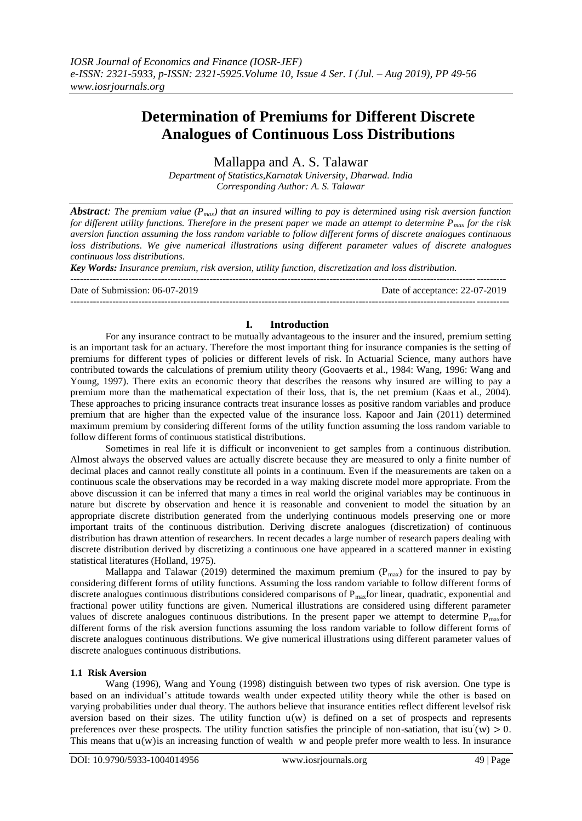# **Determination of Premiums for Different Discrete Analogues of Continuous Loss Distributions**

Mallappa and A. S. Talawar

*Department of Statistics,Karnatak University, Dharwad. India Corresponding Author: A. S. Talawar*

*Abstract: The premium value (Pmax) that an insured willing to pay is determined using risk aversion function for different utility functions. Therefore in the present paper we made an attempt to determine Pmax for the risk aversion function assuming the loss random variable to follow different forms of discrete analogues continuous loss distributions. We give numerical illustrations using different parameter values of discrete analogues continuous loss distributions.*

*Key Words: Insurance premium, risk aversion, utility function, discretization and loss distribution.* 

--------------------------------------------------------------------------------------------------------------------------------------

Date of Submission: 06-07-2019 Date of acceptance: 22-07-2019

## **I. Introduction**

---------------------------------------------------------------------------------------------------------------------------------------

For any insurance contract to be mutually advantageous to the insurer and the insured, premium setting is an important task for an actuary. Therefore the most important thing for insurance companies is the setting of premiums for different types of policies or different levels of risk. In Actuarial Science, many authors have contributed towards the calculations of premium utility theory (Goovaerts et al., 1984: Wang, 1996: Wang and Young, 1997). There exits an economic theory that describes the reasons why insured are willing to pay a premium more than the mathematical expectation of their loss, that is, the net premium (Kaas et al., 2004). These approaches to pricing insurance contracts treat insurance losses as positive random variables and produce premium that are higher than the expected value of the insurance loss. Kapoor and Jain (2011) determined maximum premium by considering different forms of the utility function assuming the loss random variable to follow different forms of continuous statistical distributions.

Sometimes in real life it is difficult or inconvenient to get samples from a continuous distribution. Almost always the observed values are actually discrete because they are measured to only a finite number of decimal places and cannot really constitute all points in a continuum. Even if the measurements are taken on a continuous scale the observations may be recorded in a way making discrete model more appropriate. From the above discussion it can be inferred that many a times in real world the original variables may be continuous in nature but discrete by observation and hence it is reasonable and convenient to model the situation by an appropriate discrete distribution generated from the underlying continuous models preserving one or more important traits of the continuous distribution. Deriving discrete analogues (discretization) of continuous distribution has drawn attention of researchers. In recent decades a large number of research papers dealing with discrete distribution derived by discretizing a continuous one have appeared in a scattered manner in existing statistical literatures (Holland, 1975).

Mallappa and Talawar (2019) determined the maximum premium  $(P_{max})$  for the insured to pay by considering different forms of utility functions. Assuming the loss random variable to follow different forms of discrete analogues continuous distributions considered comparisons of  $P_{\text{max}}$  for linear, quadratic, exponential and fractional power utility functions are given. Numerical illustrations are considered using different parameter values of discrete analogues continuous distributions. In the present paper we attempt to determine  $P_{max}$ for different forms of the risk aversion functions assuming the loss random variable to follow different forms of discrete analogues continuous distributions. We give numerical illustrations using different parameter values of discrete analogues continuous distributions.

## **1.1 Risk Aversion**

Wang (1996), Wang and Young (1998) distinguish between two types of risk aversion. One type is based on an individual's attitude towards wealth under expected utility theory while the other is based on varying probabilities under dual theory. The authors believe that insurance entities reflect different levelsof risk aversion based on their sizes. The utility function  $u(w)$  is defined on a set of prospects and represents preferences over these prospects. The utility function satisfies the principle of non-satiation, that isu' $(w) > 0$ . This means that  $u(w)$  is an increasing function of wealth w and people prefer more wealth to less. In insurance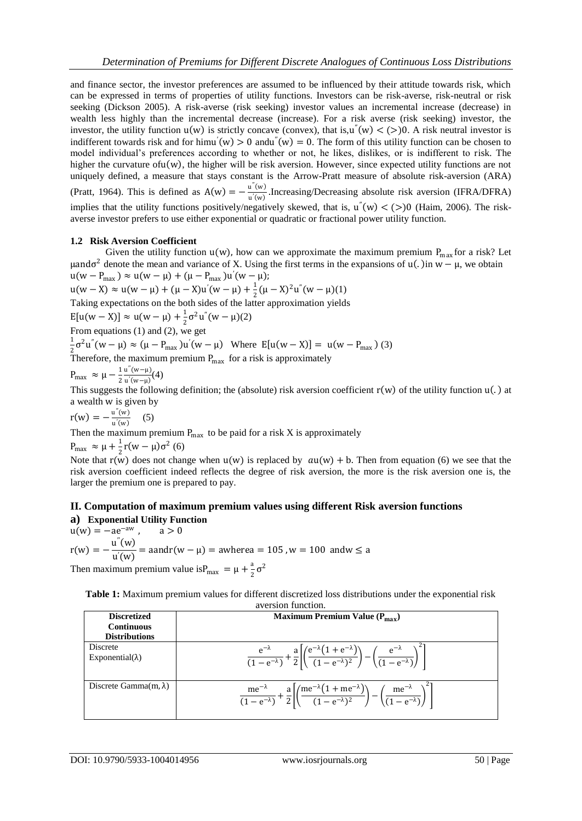and finance sector, the investor preferences are assumed to be influenced by their attitude towards risk, which can be expressed in terms of properties of utility functions. Investors can be risk-averse, risk-neutral or risk seeking (Dickson 2005). A risk-averse (risk seeking) investor values an incremental increase (decrease) in wealth less highly than the incremental decrease (increase). For a risk averse (risk seeking) investor, the investor, the utility function  $u(w)$  is strictly concave (convex), that is,  $u''(w) < (>)0$ . A risk neutral investor is indifferent towards risk and for himu'(w)  $> 0$  andu"(w) = 0. The form of this utility function can be chosen to model individual's preferences according to whether or not, he likes, dislikes, or is indifferent to risk. The higher the curvature ofu $(w)$ , the higher will be risk aversion. However, since expected utility functions are not uniquely defined, a measure that stays constant is the Arrow-Pratt measure of absolute risk-aversion (ARA) (Pratt, 1964). This is defined as  $A(w) = -\frac{u''(w)}{w'(w)}$  $\frac{u(w)}{u'(w)}$ . Increasing/Decreasing absolute risk aversion (IFRA/DFRA) implies that the utility functions positively/negatively skewed, that is,  $u''(w) < (>)0$  (Haim, 2006). The riskaverse investor prefers to use either exponential or quadratic or fractional power utility function.

## **1.2 Risk Aversion Coefficient**

Given the utility function  $u(w)$ , how can we approximate the maximum premium  $P_{\text{max}}$  for a risk? Let μandσ<sup>2</sup> denote the mean and variance of X. Using the first terms in the expansions of u(.) in w – μ, we obtain  $u(w - P_{max}) \approx u(w - \mu) + (\mu - P_{max})u'(w - \mu);$ 

 $u(w - X) \approx u(w - \mu) + (\mu - X)u'(w - \mu) + \frac{1}{2}$  $\frac{1}{2}(\mu - X)^2 u''(w - \mu)(1)$ Taking expectations on the both sides of the latter approximation yields  $E[u(w - X)] \approx u(w - \mu) + \frac{1}{2}$  $\frac{1}{2}\sigma^2$ u"(w –  $\mu$ )(2) From equations (1) and (2), we get 1  $\frac{1}{2}\sigma^2 u''(w - \mu) \approx (\mu - P_{\text{max}})u'(w - \mu)$  Where  $E[u(w - X)] = u(w - P_{\text{max}})$  (3) Therefore, the maximum premium  $P_{\text{max}}$  for a risk is approximately  $P_{\text{max}} \approx \mu - \frac{1}{2}$ 2 u ′′ w−μ  $\frac{u'(w-μ)}{u'(w-μ)}$ (4)

This suggests the following definition; the (absolute) risk aversion coefficient  $r(w)$  of the utility function  $u(.)$  at a wealth w is given by

$$
r(w) = -\frac{u''(w)}{u'(w)} \quad (5)
$$

Then the maximum premium  $P_{\text{max}}$  to be paid for a risk X is approximately

$$
P_{\text{max}} \approx \mu + \frac{1}{2}r(w - \mu)\sigma^2 \tag{6}
$$

Note that r(w) does not change when u(w) is replaced by  $au(w) + b$ . Then from equation (6) we see that the risk aversion coefficient indeed reflects the degree of risk aversion, the more is the risk aversion one is, the larger the premium one is prepared to pay.

## **II. Computation of maximum premium values using different Risk aversion functions**

#### **a) Exponential Utility Function**  $u(w) = -ae^{-aw}$ ,  $a > 0$  $r(w) = -\frac{u''(w)}{w'(w)}$  $\frac{d^2(x)}{dx^2(y)}$  = aandr(w –  $\mu$ ) = awherea = 105, w = 100 andw  $\leq$  a Then maximum premium value is  $P_{\text{max}} = \mu + \frac{a}{2}$  $rac{a}{2} \sigma^2$

**Table 1:** Maximum premium values for different discretized loss distributions under the exponential risk

| <b>Discretized</b>                        | Maximum Premium Value $(P_{max})$                                                                                                                                                                        |
|-------------------------------------------|----------------------------------------------------------------------------------------------------------------------------------------------------------------------------------------------------------|
| <b>Continuous</b><br><b>Distributions</b> |                                                                                                                                                                                                          |
| Discrete<br>Exponential( $\lambda$ )      | $\frac{e^{-\lambda}}{(1-e^{-\lambda})} + \frac{a}{2} \left  \left( \frac{e^{-\lambda}(1+e^{-\lambda})}{(1-e^{-\lambda})^2} \right) - \left( \frac{e^{-\lambda}}{(1-e^{-\lambda})} \right)^2 \right $     |
| Discrete Gamma $(m, \lambda)$             | $\frac{me^{-\lambda}}{(1-e^{-\lambda})} + \frac{a}{2} \left[ \left( \frac{me^{-\lambda}(1+me^{-\lambda})}{(1-e^{-\lambda})^2} \right) - \left( \frac{me^{-\lambda}}{(1-e^{-\lambda})} \right)^2 \right]$ |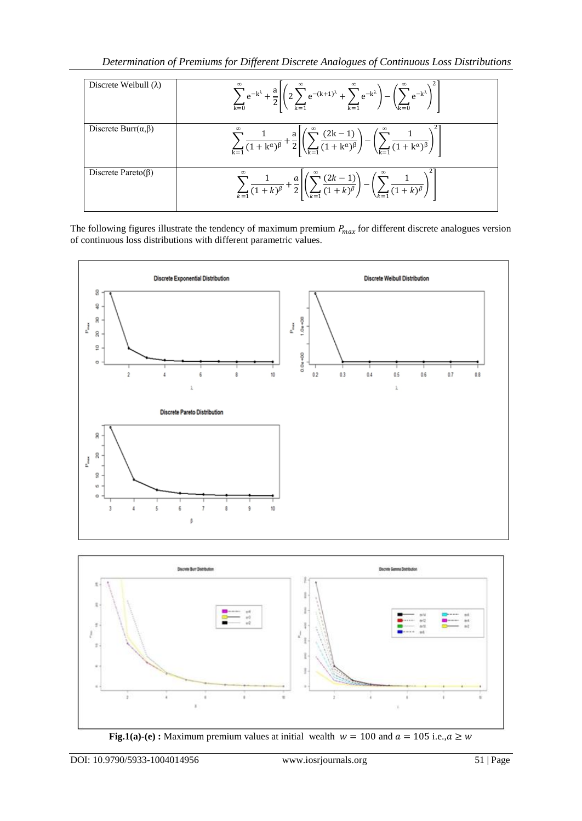*Determination of Premiums for Different Discrete Analogues of Continuous Loss Distributions*

| Discrete Weibull $(\lambda)$    | $\sum_{k=0}^{\infty} e^{-k^{\lambda}} + \frac{a}{2} \left  \left( 2 \sum_{k=1}^{\infty} e^{-(k+1)^{\lambda}} + \sum_{k=1}^{\infty} e^{-k^{\lambda}} \right) - \left( \sum_{k=0}^{\infty} e^{-k^{\lambda}} \right)^{2} \right $         |
|---------------------------------|----------------------------------------------------------------------------------------------------------------------------------------------------------------------------------------------------------------------------------------|
| Discrete Burr $(\alpha, \beta)$ | $\sum_{k=1}^{\infty} \frac{1}{(1+k^{\alpha})^{\beta}} + \frac{a}{2} \left  \left( \sum_{k=1}^{\infty} \frac{(2k-1)}{(1+k^{\alpha})^{\beta}} \right) - \left( \sum_{k=1}^{\infty} \frac{1}{(1+k^{\alpha})^{\beta}} \right)^{2} \right $ |
| Discrete Pareto $(\beta)$       | $\sum_{k=1}$ $\frac{1}{(1+k)^{\beta}} + \frac{a}{2} \left  \left( \sum_{k=1}^{\infty} \frac{(2k-1)}{(1+k)^{\beta}} \right) - \left( \sum_{k=1}^{\infty} \frac{1}{(1+k)^{\beta}} \right)^{2} \right $                                   |

The following figures illustrate the tendency of maximum premium  $P_{max}$  for different discrete analogues version of continuous loss distributions with different parametric values.





**Fig.1(a)-(e) :** Maximum premium values at initial wealth  $w = 100$  and  $a = 105$  i.e.,  $a \geq w$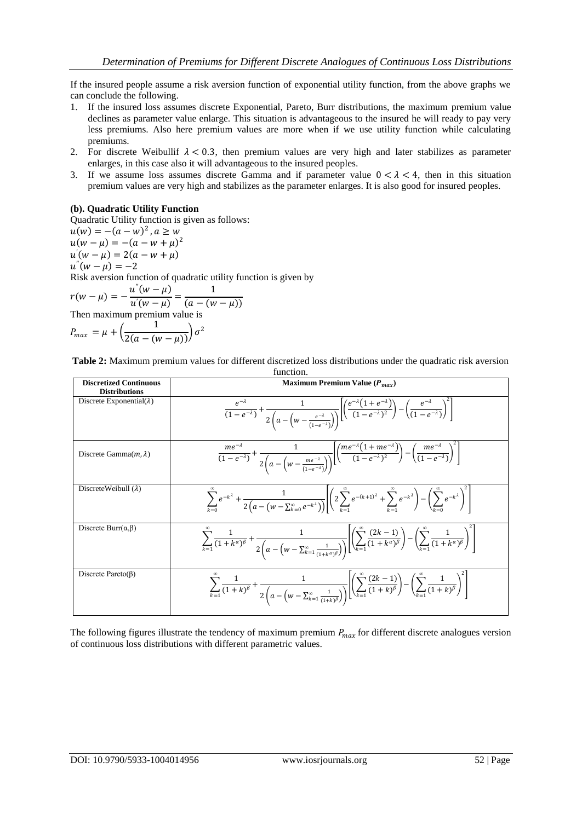If the insured people assume a risk aversion function of exponential utility function, from the above graphs we can conclude the following.

- 1. If the insured loss assumes discrete Exponential, Pareto, Burr distributions, the maximum premium value declines as parameter value enlarge. This situation is advantageous to the insured he will ready to pay very less premiums. Also here premium values are more when if we use utility function while calculating premiums.
- 2. For discrete Weibullif  $\lambda$  < 0.3, then premium values are very high and later stabilizes as parameter enlarges, in this case also it will advantageous to the insured peoples.
- 3. If we assume loss assumes discrete Gamma and if parameter value  $0 < \lambda < 4$ , then in this situation premium values are very high and stabilizes as the parameter enlarges. It is also good for insured peoples.

## **(b). Quadratic Utility Function**

Quadratic Utility function is given as follows:  $u(w) = -(a - w)^2$ ,  $a \geq w$  $u(w - \mu) = -(a - w + \mu)^2$  $u'(w - \mu) = 2(a - w + \mu)$  $u''(w - \mu) = -2$ 

Risk aversion function of quadratic utility function is given by

$$
r(w - \mu) = -\frac{u''(w - \mu)}{u'(w - \mu)} = \frac{1}{(a - (w - \mu))}
$$
  
Then maximum premium value is

$$
P_{max} = \mu + \left(\frac{1}{2(a - (w - \mu))}\right)\sigma^2
$$

**Table 2:** Maximum premium values for different discretized loss distributions under the quadratic risk aversion function.

| <b>Discretized Continuous</b><br><b>Distributions</b> | Maximum Premium Value ( $P_{max}$ )                                                                                                                                                                                                                                                                                    |
|-------------------------------------------------------|------------------------------------------------------------------------------------------------------------------------------------------------------------------------------------------------------------------------------------------------------------------------------------------------------------------------|
| Discrete Exponential( $\lambda$ )                     | $\frac{e^{-\lambda}}{(1-e^{-\lambda})}+\frac{1}{2\left(a-\left(w-\frac{e^{-\lambda}}{(1-e^{-\lambda})}\right)\right)}\left[\left(\frac{e^{-\lambda}(1+e^{-\lambda})}{(1-e^{-\lambda})^2}\right)-\left(\frac{e^{-\lambda}}{(1-e^{-\lambda})}\right)^2\right]$                                                           |
| Discrete Gamma $(m, \lambda)$                         | $\frac{me^{-\lambda}}{(1-e^{-\lambda})}+\frac{1}{2\left(a-\left(w-\frac{me^{-\lambda}}{(1-e^{-\lambda})}\right)\right)}\left[\left(\frac{me^{-\lambda}(1+me^{-\lambda})}{(1-e^{-\lambda})^2}\right)-\left(\frac{me^{-\lambda}}{(1-e^{-\lambda})}\right)^{2}\right]$                                                    |
| Discrete Weibull $(\lambda)$                          | $\sum_{k=0}^{\infty} e^{-k^{\lambda}} + \frac{1}{2(a - (w - \sum_{k=0}^{\infty} e^{-k^{\lambda}}))} \left  \left( 2 \sum_{k=1}^{\infty} e^{-(k+1)^{\lambda}} + \sum_{k=1}^{\infty} e^{-k^{\lambda}} \right) - \left( \sum_{k=0}^{\infty} e^{-k^{\lambda}} \right)^{2} \right $                                         |
| Discrete Burr $(\alpha, \beta)$                       | $\sum_{k=1}^{\infty} \frac{1}{(1+k^{\alpha})^{\beta}} + \frac{1}{2\left(a - \left(w - \sum_{k=1}^{\infty} \frac{1}{(1+k^{\alpha})^{\beta}}\right)\right)} \left[\left(\sum_{k=1}^{\infty} \frac{(2k-1)}{(1+k^{\alpha})^{\beta}}\right) - \left(\sum_{k=1}^{\infty} \frac{1}{(1+k^{\alpha})^{\beta}}\right)^{2}\right]$ |
| Discrete Pareto( $\beta$ )                            | $\sum_{k=1}^{\infty} \frac{1}{(1+k)^{\beta}} + \frac{1}{2\left(a - \left(w - \sum_{k=1}^{\infty} \frac{1}{(1+k)^{\beta}}\right)\right)} \left[\left(\sum_{k=1}^{\infty} \frac{(2k-1)}{(1+k)^{\beta}}\right) - \left(\sum_{k=1}^{\infty} \frac{1}{(1+k)^{\beta}}\right)^{2}\right]$                                     |

The following figures illustrate the tendency of maximum premium  $P_{max}$  for different discrete analogues version of continuous loss distributions with different parametric values.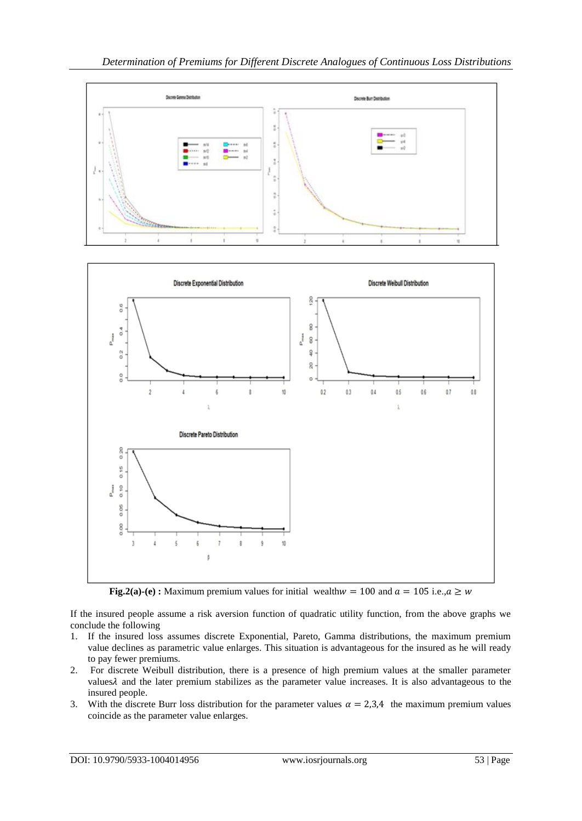

**Fig.2(a)-(e) :** Maximum premium values for initial wealth  $w = 100$  and  $a = 105$  i.e.,  $a \geq w$ 

If the insured people assume a risk aversion function of quadratic utility function, from the above graphs we conclude the following

- 1. If the insured loss assumes discrete Exponential, Pareto, Gamma distributions, the maximum premium value declines as parametric value enlarges. This situation is advantageous for the insured as he will ready to pay fewer premiums.
- 2. For discrete Weibull distribution, there is a presence of high premium values at the smaller parameter values  $\lambda$  and the later premium stabilizes as the parameter value increases. It is also advantageous to the insured people.
- 3. With the discrete Burr loss distribution for the parameter values  $\alpha = 2.3.4$  the maximum premium values coincide as the parameter value enlarges.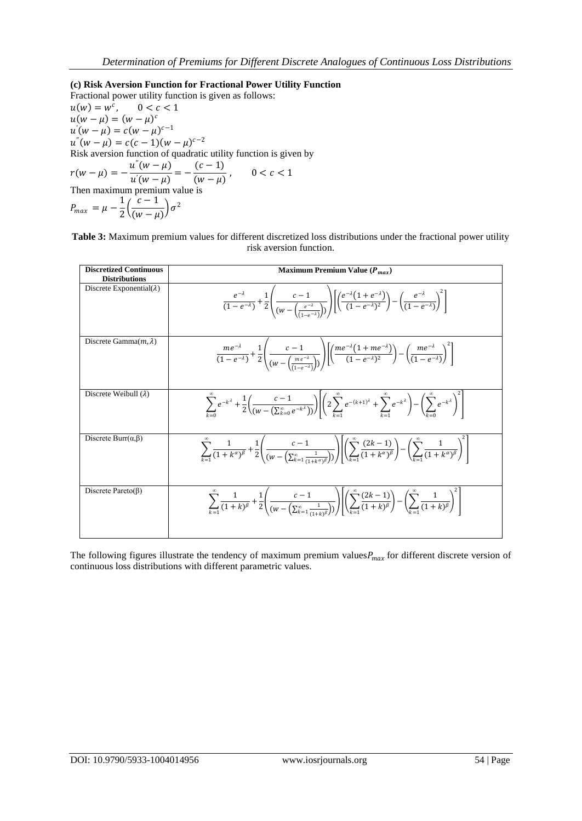## **(c) Risk Aversion Function for Fractional Power Utility Function**

Fractional power utility function is given as follows:  $u(w) = w^c, \quad 0 < c < 1$  $u(w - \mu) = (w - \mu)^c$  $u'(w - \mu) = c(w - \mu)^{c-1}$  $u''(w - \mu) = c(c - 1)(w - \mu)^{c-2}$ Risk aversion function of quadratic utility function is given by  $r(w - \mu) = -\frac{u''(w - \mu)}{v'(w - \mu)}$  $\frac{u^{n}(w-\mu)}{u^{n}(w-\mu)} = -\frac{(c-1)}{(w-\mu)}$  $(w-\mu)$  $0 < c < 1$ Then maximum premium value is  $P_{max} = \mu - \frac{1}{2}$  $\frac{1}{2} \left( \frac{c-1}{(w-\mu)} \right)$  $\frac{c}{(w-\mu)}\sigma^2$ 

**Table 3:** Maximum premium values for different discretized loss distributions under the fractional power utility risk aversion function.

| <b>Discretized Continuous</b><br><b>Distributions</b> | Maximum Premium Value $(P_{max})$                                                                                                                                                                                                                                                                                                                                                     |
|-------------------------------------------------------|---------------------------------------------------------------------------------------------------------------------------------------------------------------------------------------------------------------------------------------------------------------------------------------------------------------------------------------------------------------------------------------|
| Discrete Exponential( $\lambda$ )                     | $\frac{e^{-\lambda}}{(1-e^{-\lambda})}+\frac{1}{2}\left(\frac{c-1}{(w-(\frac{e^{-\lambda}}{(1-e^{-\lambda})})})\right)\left(\frac{e^{-\lambda}(1+e^{-\lambda})}{(1-e^{-\lambda})^2}\right)-\left(\frac{e^{-\lambda}}{(1-e^{-\lambda})}\right)^2\right]$                                                                                                                               |
| Discrete Gamma $(m, \lambda)$                         | $\frac{me^{-\lambda}}{(1-e^{-\lambda})}+\frac{1}{2}\left(\frac{c-1}{(w-(\frac{me^{-\lambda}}{e^{-\lambda}}))}\right)\left[\left(\frac{me^{-\lambda}(1+me^{-\lambda})}{(1-e^{-\lambda})^2}\right)-\left(\frac{me^{-\lambda}}{(1-e^{-\lambda})}\right)^2\right]$                                                                                                                        |
| Discrete Weibull $(\lambda)$                          | $\sum_{k=0}^{\infty} e^{-k^{\lambda}} + \frac{1}{2} \left( \frac{c-1}{(w - (\sum_{k=0}^{\infty} e^{-k^{\lambda}}))} \right) \left( 2 \sum_{k=0}^{\infty} e^{-(k+1)^{\lambda}} + \sum_{k=0}^{\infty} e^{-k^{\lambda}} \right) - \left( \sum_{k=0}^{\infty} e^{-k^{\lambda}} \right)^{2} \left( \sum_{k=0}^{\infty} e^{-k^{\lambda}} \right)^{2}$                                       |
| Discrete Burr $(\alpha, \beta)$                       | $\sum_{k=1}^{\infty} \frac{1}{(1+k^{\alpha})^{\beta}} + \frac{1}{2} \left( \frac{c-1}{(w-(\sum_{k=1}^{\infty} \frac{1}{(1+k^{\alpha})^{\beta}})}) \right) \left( \sum_{k=1}^{\infty} \frac{(2k-1)}{(1+k^{\alpha})^{\beta}} \right) - \left( \sum_{k=1}^{\infty} \frac{1}{(1+k^{\alpha})^{\beta}} \right)^{2} \left( \sum_{k=1}^{\infty} \frac{1}{(1+k^{\alpha})^{\beta}} \right)^{2}$ |
| Discrete Pareto $(\beta)$                             | $\sum_{k=1}^{\infty} \frac{1}{(1+k)^{\beta}} + \frac{1}{2} \left( \frac{c-1}{(w-(\sum_{k=1}^{\infty} \frac{1}{(1+x)^{\beta}}))} \right) \left( \sum_{k=1}^{\infty} \frac{(2k-1)}{(1+k)^{\beta}} - \left( \sum_{k=1}^{\infty} \frac{1}{(1+k)^{\beta}} \right) \right)$                                                                                                                 |

The following figures illustrate the tendency of maximum premium values $P_{max}$  for different discrete version of continuous loss distributions with different parametric values.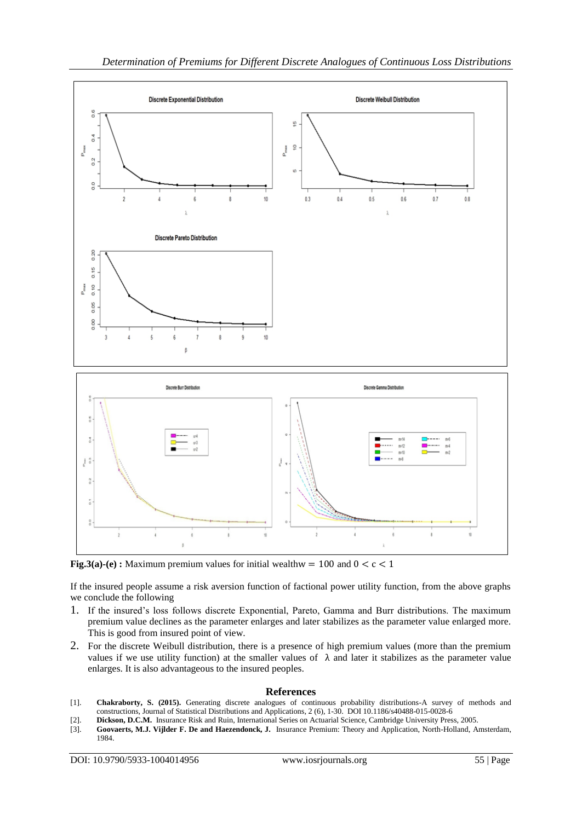

**Fig.3(a)-(e) :** Maximum premium values for initial wealthw = 100 and  $0 < c < 1$ 

If the insured people assume a risk aversion function of factional power utility function, from the above graphs we conclude the following

- 1. If the insured's loss follows discrete Exponential, Pareto, Gamma and Burr distributions. The maximum premium value declines as the parameter enlarges and later stabilizes as the parameter value enlarged more. This is good from insured point of view.
- 2. For the discrete Weibull distribution, there is a presence of high premium values (more than the premium values if we use utility function) at the smaller values of  $\lambda$  and later it stabilizes as the parameter value enlarges. It is also advantageous to the insured peoples.

## **References**

- [1]. **Chakraborty, S. (2015).** Generating discrete analogues of continuous probability distributions-A survey of methods and constructions, Journal of Statistical Distributions and Applications, 2 (6), 1-30. DOI 10.1186/s40488-015-0028-6
- [2]. **Dickson, D.C.M.** Insurance Risk and Ruin, International Series on Actuarial Science, Cambridge University Press, 2005.
- [3]. **Goovaerts, M.J. Vijlder F. De and Haezendonck, J.** Insurance Premium: Theory and Application, North-Holland, Amsterdam, 1984.